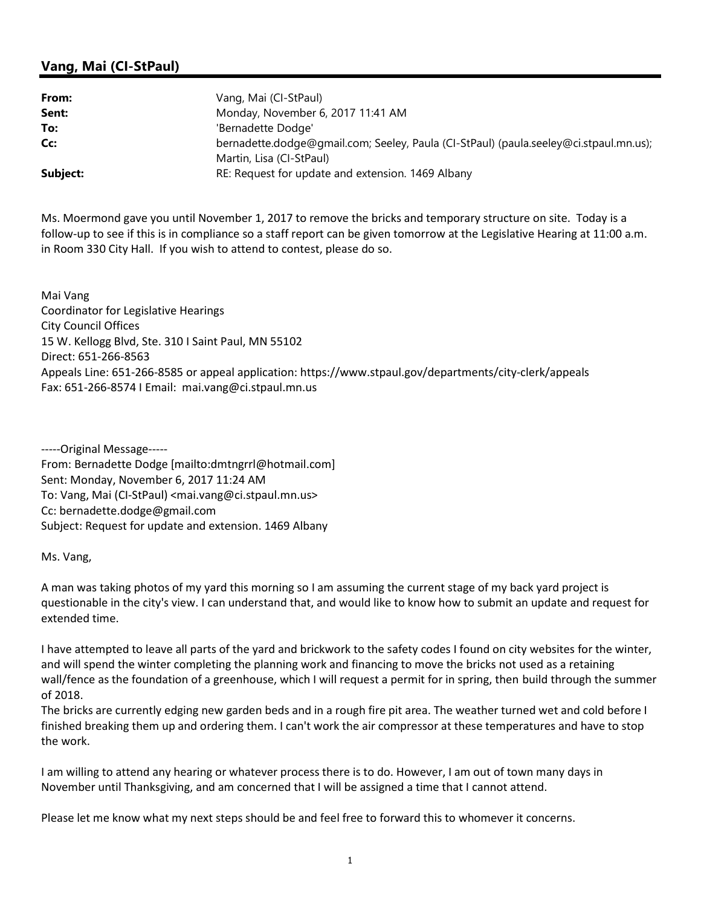## Vang, Mai (CI-StPaul)

| From:    | Vang, Mai (CI-StPaul)                                                                 |
|----------|---------------------------------------------------------------------------------------|
| Sent:    | Monday, November 6, 2017 11:41 AM                                                     |
| To:      | 'Bernadette Dodge'                                                                    |
| Cc:      | bernadette.dodge@gmail.com; Seeley, Paula (CI-StPaul) (paula.seeley@ci.stpaul.mn.us); |
|          | Martin, Lisa (CI-StPaul)                                                              |
| Subject: | RE: Request for update and extension. 1469 Albany                                     |

Ms. Moermond gave you until November 1, 2017 to remove the bricks and temporary structure on site. Today is a follow-up to see if this is in compliance so a staff report can be given tomorrow at the Legislative Hearing at 11:00 a.m. in Room 330 City Hall. If you wish to attend to contest, please do so.

Mai Vang Coordinator for Legislative Hearings City Council Offices 15 W. Kellogg Blvd, Ste. 310 I Saint Paul, MN 55102 Direct: 651-266-8563 Appeals Line: 651-266-8585 or appeal application: https://www.stpaul.gov/departments/city-clerk/appeals Fax: 651-266-8574 I Email: mai.vang@ci.stpaul.mn.us

-----Original Message----- From: Bernadette Dodge [mailto:dmtngrrl@hotmail.com] Sent: Monday, November 6, 2017 11:24 AM To: Vang, Mai (CI-StPaul) <mai.vang@ci.stpaul.mn.us> Cc: bernadette.dodge@gmail.com Subject: Request for update and extension. 1469 Albany

Ms. Vang,

A man was taking photos of my yard this morning so I am assuming the current stage of my back yard project is questionable in the city's view. I can understand that, and would like to know how to submit an update and request for extended time.

I have attempted to leave all parts of the yard and brickwork to the safety codes I found on city websites for the winter, and will spend the winter completing the planning work and financing to move the bricks not used as a retaining wall/fence as the foundation of a greenhouse, which I will request a permit for in spring, then build through the summer of 2018.

The bricks are currently edging new garden beds and in a rough fire pit area. The weather turned wet and cold before I finished breaking them up and ordering them. I can't work the air compressor at these temperatures and have to stop the work.

I am willing to attend any hearing or whatever process there is to do. However, I am out of town many days in November until Thanksgiving, and am concerned that I will be assigned a time that I cannot attend.

Please let me know what my next steps should be and feel free to forward this to whomever it concerns.